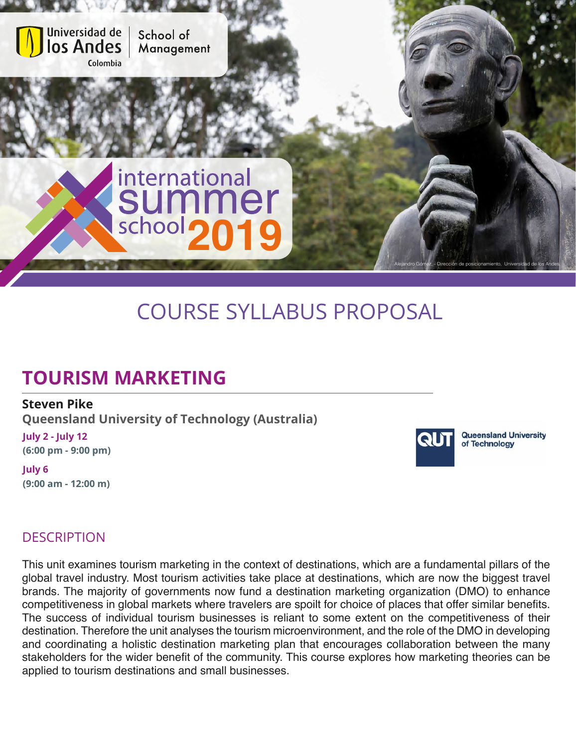

# COURSE SYLLABUS PROPOSAL

## **TOURISM MARKETING**

#### **Steven Pike**

**Queensland University of Technology (Australia)**

**July 2 - July 12 (6:00 pm - 9:00 pm)**

**July 6 (9:00 am - 12:00 m)**



**Queensland University** of Technology

### **DESCRIPTION**

This unit examines tourism marketing in the context of destinations, which are a fundamental pillars of the global travel industry. Most tourism activities take place at destinations, which are now the biggest travel brands. The majority of governments now fund a destination marketing organization (DMO) to enhance competitiveness in global markets where travelers are spoilt for choice of places that offer similar benefits. The success of individual tourism businesses is reliant to some extent on the competitiveness of their destination. Therefore the unit analyses the tourism microenvironment, and the role of the DMO in developing and coordinating a holistic destination marketing plan that encourages collaboration between the many stakeholders for the wider benefit of the community. This course explores how marketing theories can be applied to tourism destinations and small businesses.